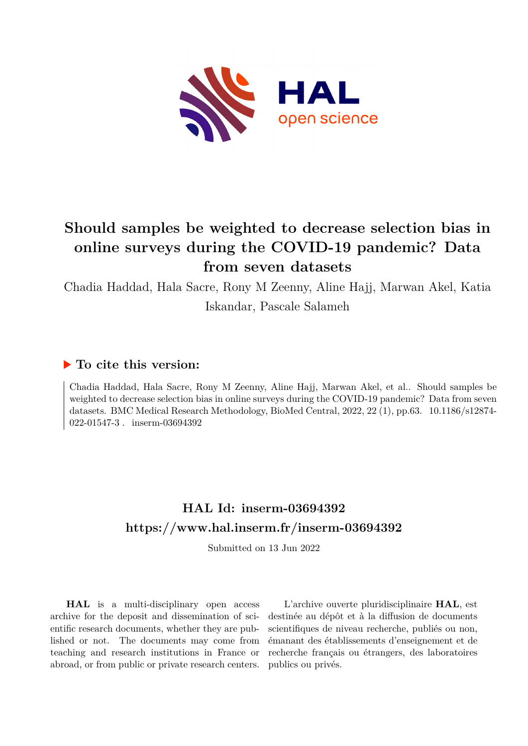

# **Should samples be weighted to decrease selection bias in online surveys during the COVID-19 pandemic? Data from seven datasets**

Chadia Haddad, Hala Sacre, Rony M Zeenny, Aline Hajj, Marwan Akel, Katia

Iskandar, Pascale Salameh

## **To cite this version:**

Chadia Haddad, Hala Sacre, Rony M Zeenny, Aline Hajj, Marwan Akel, et al.. Should samples be weighted to decrease selection bias in online surveys during the COVID-19 pandemic? Data from seven datasets. BMC Medical Research Methodology, BioMed Central, 2022, 22 (1), pp.63. 10.1186/s12874-022-01547-3 . inserm-03694392

# **HAL Id: inserm-03694392 <https://www.hal.inserm.fr/inserm-03694392>**

Submitted on 13 Jun 2022

**HAL** is a multi-disciplinary open access archive for the deposit and dissemination of scientific research documents, whether they are published or not. The documents may come from teaching and research institutions in France or abroad, or from public or private research centers.

L'archive ouverte pluridisciplinaire **HAL**, est destinée au dépôt et à la diffusion de documents scientifiques de niveau recherche, publiés ou non, émanant des établissements d'enseignement et de recherche français ou étrangers, des laboratoires publics ou privés.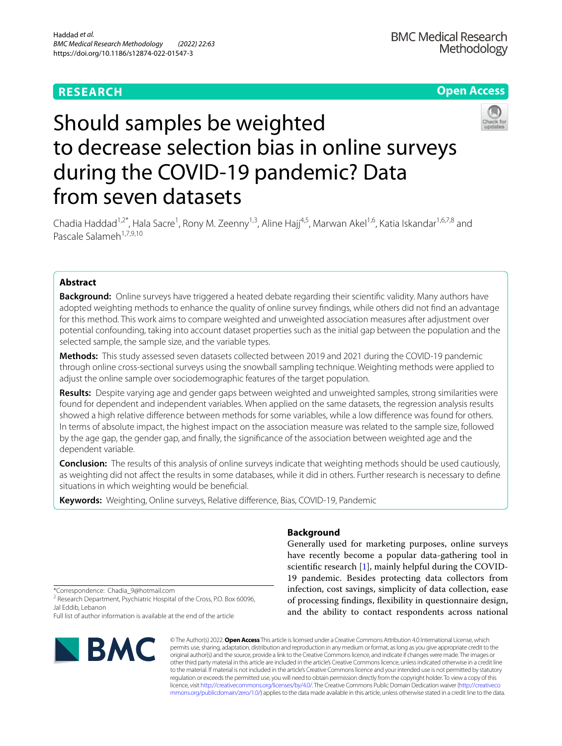## **RESEARCH**

## **Open Access**



# Should samples be weighted to decrease selection bias in online surveys during the COVID-19 pandemic? Data from seven datasets

Chadia Haddad<sup>1,2\*</sup>, Hala Sacre<sup>1</sup>, Rony M. Zeenny<sup>1,3</sup>, Aline Hajj<sup>4,5</sup>, Marwan Akel<sup>1,6</sup>, Katia Iskandar<sup>1,6,7,8</sup> and Pascale Salameh<sup>1,7,9,10</sup>

## **Abstract**

**Background:** Online surveys have triggered a heated debate regarding their scientifc validity. Many authors have adopted weighting methods to enhance the quality of online survey fndings, while others did not fnd an advantage for this method. This work aims to compare weighted and unweighted association measures after adjustment over potential confounding, taking into account dataset properties such as the initial gap between the population and the selected sample, the sample size, and the variable types.

**Methods:** This study assessed seven datasets collected between 2019 and 2021 during the COVID-19 pandemic through online cross-sectional surveys using the snowball sampling technique. Weighting methods were applied to adjust the online sample over sociodemographic features of the target population.

**Results:** Despite varying age and gender gaps between weighted and unweighted samples, strong similarities were found for dependent and independent variables. When applied on the same datasets, the regression analysis results showed a high relative diference between methods for some variables, while a low diference was found for others. In terms of absolute impact, the highest impact on the association measure was related to the sample size, followed by the age gap, the gender gap, and fnally, the signifcance of the association between weighted age and the dependent variable.

**Conclusion:** The results of this analysis of online surveys indicate that weighting methods should be used cautiously, as weighting did not afect the results in some databases, while it did in others. Further research is necessary to defne situations in which weighting would be benefcial.

**Keywords:** Weighting, Online surveys, Relative diference, Bias, COVID-19, Pandemic

## **Background**

Generally used for marketing purposes, online surveys have recently become a popular data-gathering tool in scientific research [1], mainly helpful during the COVID-19 pandemic. Besides protecting data collectors from infection, cost savings, simplicity of data collection, ease of processing fndings, fexibility in questionnaire design, and the ability to contact respondents across national

\*Correspondence: Chadia\_9@hotmail.com

<sup>2</sup> Research Department, Psychiatric Hospital of the Cross, P.O. Box 60096, Jal Eddib, Lebanon

Full list of author information is available at the end of the article



© The Author(s) 2022. **Open Access** This article is licensed under a Creative Commons Attribution 4.0 International License, which permits use, sharing, adaptation, distribution and reproduction in any medium or format, as long as you give appropriate credit to the original author(s) and the source, provide a link to the Creative Commons licence, and indicate if changes were made. The images or other third party material in this article are included in the article's Creative Commons licence, unless indicated otherwise in a credit line to the material. If material is not included in the article's Creative Commons licence and your intended use is not permitted by statutory regulation or exceeds the permitted use, you will need to obtain permission directly from the copyright holder. To view a copy of this licence, visit [http://creativecommons.org/licenses/by/4.0/.](http://creativecommons.org/licenses/by/4.0/) The Creative Commons Public Domain Dedication waiver ([http://creativeco](http://creativecommons.org/publicdomain/zero/1.0/) [mmons.org/publicdomain/zero/1.0/](http://creativecommons.org/publicdomain/zero/1.0/)) applies to the data made available in this article, unless otherwise stated in a credit line to the data.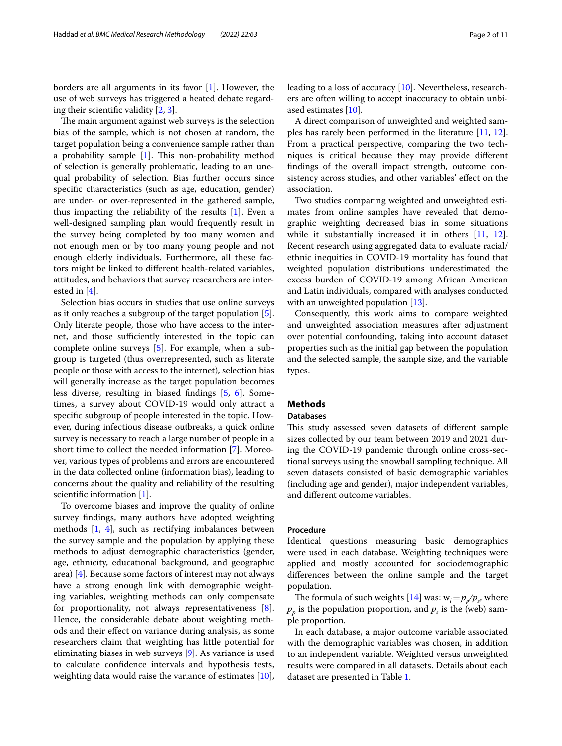borders are all arguments in its favor [1]. However, the use of web surveys has triggered a heated debate regarding their scientifc validity [2, 3].

The main argument against web surveys is the selection bias of the sample, which is not chosen at random, the target population being a convenience sample rather than a probability sample  $[1]$ . This non-probability method of selection is generally problematic, leading to an unequal probability of selection. Bias further occurs since specifc characteristics (such as age, education, gender) are under- or over-represented in the gathered sample, thus impacting the reliability of the results [1]. Even a well-designed sampling plan would frequently result in the survey being completed by too many women and not enough men or by too many young people and not enough elderly individuals. Furthermore, all these factors might be linked to diferent health-related variables, attitudes, and behaviors that survey researchers are interested in [4].

Selection bias occurs in studies that use online surveys as it only reaches a subgroup of the target population [5]. Only literate people, those who have access to the internet, and those sufficiently interested in the topic can complete online surveys [5]. For example, when a subgroup is targeted (thus overrepresented, such as literate people or those with access to the internet), selection bias will generally increase as the target population becomes less diverse, resulting in biased fndings [5, 6]. Sometimes, a survey about COVID-19 would only attract a specifc subgroup of people interested in the topic. However, during infectious disease outbreaks, a quick online survey is necessary to reach a large number of people in a short time to collect the needed information [7]. Moreover, various types of problems and errors are encountered in the data collected online (information bias), leading to concerns about the quality and reliability of the resulting scientific information [1].

To overcome biases and improve the quality of online survey fndings, many authors have adopted weighting methods [1, 4], such as rectifying imbalances between the survey sample and the population by applying these methods to adjust demographic characteristics (gender, age, ethnicity, educational background, and geographic area) [4]. Because some factors of interest may not always have a strong enough link with demographic weighting variables, weighting methods can only compensate for proportionality, not always representativeness [8]. Hence, the considerable debate about weighting methods and their efect on variance during analysis, as some researchers claim that weighting has little potential for eliminating biases in web surveys [9]. As variance is used to calculate confdence intervals and hypothesis tests, weighting data would raise the variance of estimates [10],

leading to a loss of accuracy [10]. Nevertheless, researchers are often willing to accept inaccuracy to obtain unbiased estimates [10].

A direct comparison of unweighted and weighted samples has rarely been performed in the literature [11, 12]. From a practical perspective, comparing the two techniques is critical because they may provide diferent fndings of the overall impact strength, outcome consistency across studies, and other variables' effect on the association.

Two studies comparing weighted and unweighted estimates from online samples have revealed that demographic weighting decreased bias in some situations while it substantially increased it in others [11, 12]. Recent research using aggregated data to evaluate racial/ ethnic inequities in COVID-19 mortality has found that weighted population distributions underestimated the excess burden of COVID-19 among African American and Latin individuals, compared with analyses conducted with an unweighted population [13].

Consequently, this work aims to compare weighted and unweighted association measures after adjustment over potential confounding, taking into account dataset properties such as the initial gap between the population and the selected sample, the sample size, and the variable types.

## **Methods**

#### **Databases**

This study assessed seven datasets of different sample sizes collected by our team between 2019 and 2021 during the COVID-19 pandemic through online cross-sectional surveys using the snowball sampling technique. All seven datasets consisted of basic demographic variables (including age and gender), major independent variables, and diferent outcome variables.

#### **Procedure**

Identical questions measuring basic demographics were used in each database. Weighting techniques were applied and mostly accounted for sociodemographic diferences between the online sample and the target population.

The formula of such weights  $[14]$  was:  $w_i = p_p/p_s$ , where  $p_p^{}$  is the population proportion, and  $p_s^{}$  is the (web) sample proportion.

In each database, a major outcome variable associated with the demographic variables was chosen, in addition to an independent variable. Weighted versus unweighted results were compared in all datasets. Details about each dataset are presented in Table 1.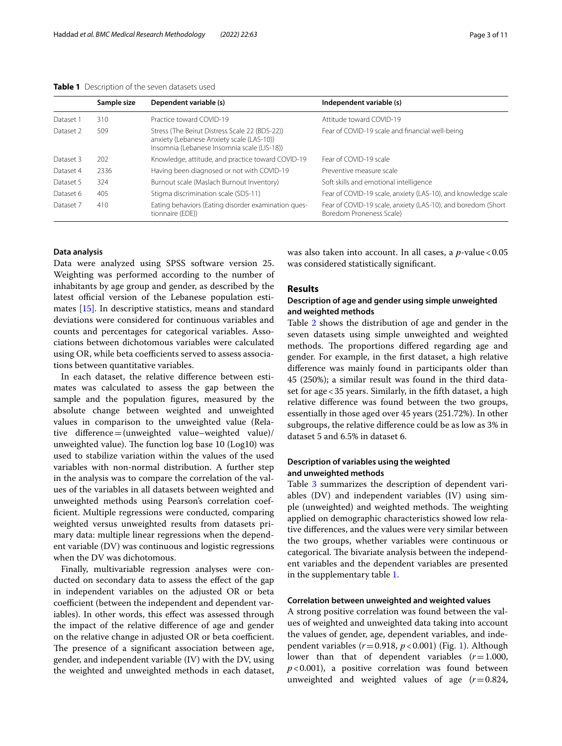#### **Table 1** Description of the seven datasets used

|           | Sample size | Dependent variable (s)                                                                                                                     | Independent variable (s)                                                                 |
|-----------|-------------|--------------------------------------------------------------------------------------------------------------------------------------------|------------------------------------------------------------------------------------------|
| Dataset 1 | 310         | Practice toward COVID-19                                                                                                                   | Attitude toward COVID-19                                                                 |
| Dataset 2 | 509         | Stress (The Beirut Distress Scale 22 (BDS-22))<br>anxiety (Lebanese Anxiety scale (LAS-10))<br>Insomnia (Lebanese Insomnia scale (LIS-18)) | Fear of COVID-19 scale and financial well-being                                          |
| Dataset 3 | 202         | Knowledge, attitude, and practice toward COVID-19                                                                                          | Fear of COVID-19 scale                                                                   |
| Dataset 4 | 2336        | Having been diagnosed or not with COVID-19                                                                                                 | Preventive measure scale                                                                 |
| Dataset 5 | 324         | Burnout scale (Maslach Burnout Inventory)                                                                                                  | Soft skills and emotional intelligence                                                   |
| Dataset 6 | 405         | Stigma discrimination scale (SDS-11)                                                                                                       | Fear of COVID-19 scale, anxiety (LAS-10), and knowledge scale                            |
| Dataset 7 | 410         | Eating behaviors (Eating disorder examination ques-<br>tionnaire (EDE))                                                                    | Fear of COVID-19 scale, anxiety (LAS-10), and boredom (Short<br>Boredom Proneness Scale) |

#### **Data analysis**

Data were analyzed using SPSS software version 25. Weighting was performed according to the number of inhabitants by age group and gender, as described by the latest official version of the Lebanese population estimates [15]. In descriptive statistics, means and standard deviations were considered for continuous variables and counts and percentages for categorical variables. Associations between dichotomous variables were calculated using OR, while beta coefficients served to assess associations between quantitative variables.

In each dataset, the relative diference between estimates was calculated to assess the gap between the sample and the population fgures, measured by the absolute change between weighted and unweighted values in comparison to the unweighted value (Relative diference=(unweighted value–weighted value)/ unweighted value). The function  $log base 10 (Log 10) was$ used to stabilize variation within the values of the used variables with non-normal distribution. A further step in the analysis was to compare the correlation of the values of the variables in all datasets between weighted and unweighted methods using Pearson's correlation coeffcient. Multiple regressions were conducted, comparing weighted versus unweighted results from datasets primary data: multiple linear regressions when the dependent variable (DV) was continuous and logistic regressions when the DV was dichotomous.

Finally, multivariable regression analyses were conducted on secondary data to assess the effect of the gap in independent variables on the adjusted OR or beta coefficient (between the independent and dependent variables). In other words, this effect was assessed through the impact of the relative diference of age and gender on the relative change in adjusted OR or beta coefficient. The presence of a significant association between age, gender, and independent variable (IV) with the DV, using the weighted and unweighted methods in each dataset, was also taken into account. In all cases, a *p*-value < 0.05 was considered statistically signifcant.

#### **Results**

#### **Description of age and gender using simple unweighted and weighted methods**

Table 2 shows the distribution of age and gender in the seven datasets using simple unweighted and weighted methods. The proportions differed regarding age and gender. For example, in the frst dataset, a high relative diference was mainly found in participants older than 45 (250%); a similar result was found in the third dataset for age<35 years. Similarly, in the ffth dataset, a high relative diference was found between the two groups, essentially in those aged over 45 years (251.72%). In other subgroups, the relative diference could be as low as 3% in dataset 5 and 6.5% in dataset 6.

#### **Description of variables using the weighted and unweighted methods**

Table 3 summarizes the description of dependent variables (DV) and independent variables (IV) using simple (unweighted) and weighted methods. The weighting applied on demographic characteristics showed low relative diferences, and the values were very similar between the two groups, whether variables were continuous or categorical. The bivariate analysis between the independent variables and the dependent variables are presented in the supplementary table 1.

#### **Correlation between unweighted and weighted values**

A strong positive correlation was found between the values of weighted and unweighted data taking into account the values of gender, age, dependent variables, and independent variables (*r*=0.918, *p*<0.001) (Fig. 1). Although lower than that of dependent variables (*r*=1.000,  $p$ <0.001), a positive correlation was found between unweighted and weighted values of age (*r*=0.824,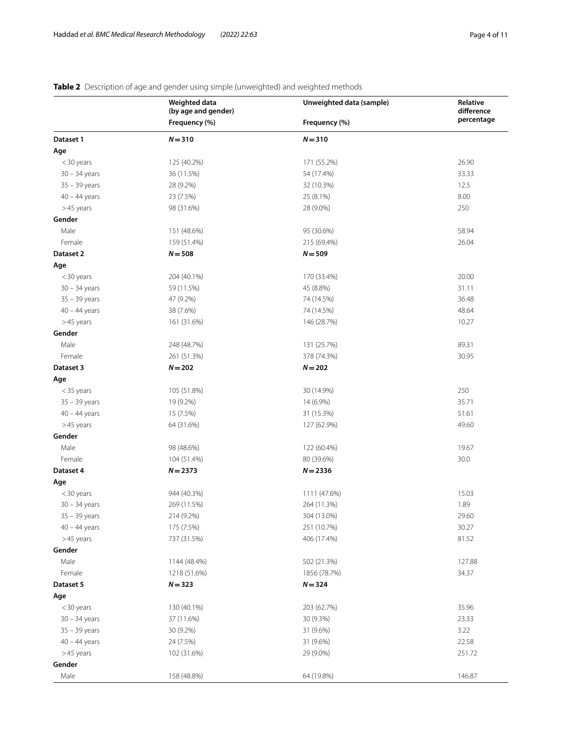## **Table 2** Description of age and gender using simple (unweighted) and weighted methods

|                 | Weighted data<br>(by age and gender) | Unweighted data (sample) | Relative<br>difference |
|-----------------|--------------------------------------|--------------------------|------------------------|
|                 | Frequency (%)                        | Frequency (%)            | percentage             |
| Dataset 1       | $N = 310$                            | $N = 310$                |                        |
| Age             |                                      |                          |                        |
| <30 years       | 125 (40.2%)                          | 171 (55.2%)              | 26.90                  |
| $30 - 34$ years | 36 (11.5%)                           | 54 (17.4%)               | 33.33                  |
| $35 - 39$ years | 28 (9.2%)                            | 32 (10.3%)               | 12.5                   |
| $40 - 44$ years | 23 (7.5%)                            | 25 (8.1%)                | 8.00                   |
| >45 years       | 98 (31.6%)                           | 28 (9.0%)                | 250                    |
| Gender          |                                      |                          |                        |
| Male            | 151 (48.6%)                          | 95 (30.6%)               | 58.94                  |
| Female          | 159 (51.4%)                          | 215 (69.4%)              | 26.04                  |
| Dataset 2       | $N = 508$                            | $N = 509$                |                        |
| Age             |                                      |                          |                        |
| <30 years       | 204 (40.1%)                          | 170 (33.4%)              | 20.00                  |
| $30 - 34$ years | 59 (11.5%)                           | 45 (8.8%)                | 31.11                  |
| $35 - 39$ years | 47 (9.2%)                            | 74 (14.5%)               | 36.48                  |
| $40 - 44$ years | 38 (7.6%)                            | 74 (14.5%)               | 48.64                  |
| >45 years       | 161 (31.6%)                          | 146 (28.7%)              | 10.27                  |
| Gender          |                                      |                          |                        |
| Male            | 248 (48.7%)                          | 131 (25.7%)              | 89.31                  |
| Female          | 261 (51.3%)                          | 378 (74.3%)              | 30.95                  |
| Dataset 3       | $N = 202$                            | $N = 202$                |                        |
| Age             |                                      |                          |                        |
| $<$ 35 years    | 105 (51.8%)                          | 30 (14.9%)               | 250                    |
| $35 - 39$ years | 19 (9.2%)                            | 14 (6.9%)                | 35.71                  |
| $40 - 44$ years | 15 (7.5%)                            | 31 (15.3%)               | 51.61                  |
| >45 years       | 64 (31.6%)                           | 127 (62.9%)              | 49.60                  |
| Gender          |                                      |                          |                        |
| Male            | 98 (48.6%)                           | 122 (60.4%)              | 19.67                  |
| Female          | 104 (51.4%)                          | 80 (39.6%)               | 30.0                   |
| Dataset 4       | $N = 2373$                           | $N = 2336$               |                        |
| Age             |                                      |                          |                        |
| <30 years       | 944 (40.3%)                          | 1111 (47.6%)             | 15.03                  |
| $30 - 34$ years | 269 (11.5%)                          | 264 (11.3%)              | 1.89                   |
| $35 - 39$ years | 214 (9.2%)                           | 304 (13.0%)              | 29.60                  |
| $40 - 44$ years | 175 (7.5%)                           | 251 (10.7%)              | 30.27                  |
| >45 years       | 737 (31.5%)                          | 406 (17.4%)              | 81.52                  |
| Gender          |                                      |                          |                        |
| Male            | 1144 (48.4%)                         | 502 (21.3%)              | 127.88                 |
| Female          | 1218 (51.6%)                         | 1856 (78.7%)             | 34.37                  |
| Dataset 5       | $N = 323$                            | $N = 324$                |                        |
| Age             |                                      |                          |                        |
| <30 years       | 130 (40.1%)                          | 203 (62.7%)              | 35.96                  |
| $30 - 34$ years | 37 (11.6%)                           | 30 (9.3%)                | 23.33                  |
| $35 - 39$ years | 30 (9.2%)                            | 31 (9.6%)                | 3.22                   |
| $40 - 44$ years | 24 (7.5%)                            | 31 (9.6%)                | 22.58                  |
| >45 years       | 102 (31.6%)                          | 29 (9.0%)                | 251.72                 |
| Gender          |                                      |                          |                        |
| Male            | 158 (48.8%)                          | 64 (19.8%)               | 146.87                 |
|                 |                                      |                          |                        |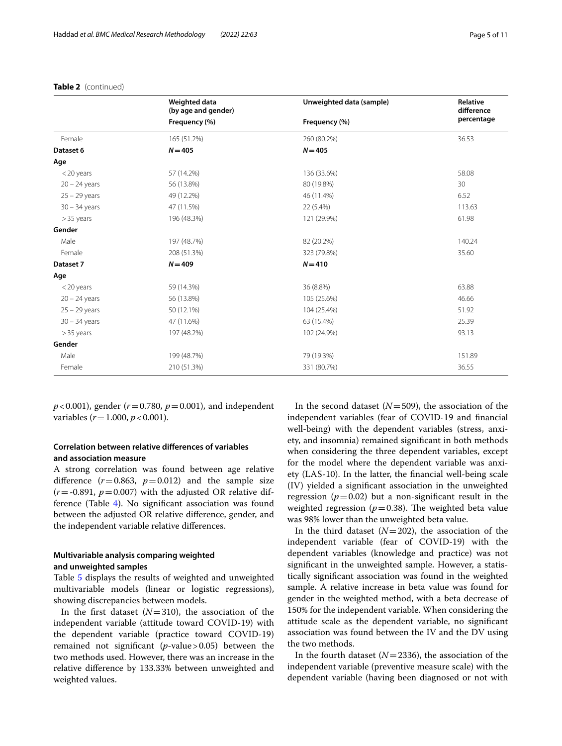**Table 2** (continued)

#### **Weighted data (by age and gender) Unweighted data (sample) Relative Relative diference percentage Frequency (%) Frequency (%)** Female 165 (51.2%) 260 (80.2%) 36.53 **Dataset 6** *N***=405** *N***=405 Age** <20 years 57 (14.2%) 136 (33.6%) 58.08 20 – 24 years 6 (13.8%) 56 (13.8%) 30 (19.8%) 80 (19.8%) 30 (19.8%) 30 25 – 29 years 49 (12.2%) 46 (11.4%) 6.52 30 – 34 years 47 (11.5%) 22 (5.4%) 113.63 >35 years 196 (48.3%) 121 (29.9%) 61.98 **Gender** Male 197 (48.7%) 197 (48.7%) 82 (20.2%) 20.24% 140.24 Female 208 (51.3%) 323 (79.8%) 35.60 **Dataset 7** *N***=409** *N***=410 Age** <20 years 59 (14.3%) 36 (8.8%) 63.88 20 – 24 years 56 (13.8%) 105 (25.6%) 46.66 25 – 29 years 50 (12.1%) 50 (12.1%) 50 (12.1%) 50 million by the state of the state of the state of the state o 30 – 34 years 47 (11.6%) 63 (15.4%) 25.39 >35 years 197 (48.2%) 102 (24.9%) 93.13 **Gender** Male 199 (48.7%) 79 (19.3%) 79 (19.3%) 79 (19.3%) 79 (19.3%) 79 (19.3%) 79 (19.3%) Female 210 (51.3%) 36.55 (80.7%) 331 (80.7%) 36.55

*p*<0.001), gender (*r*=0.780, *p*=0.001), and independent variables (*r*=1.000, *p*<0.001).

#### **Correlation between relative diferences of variables and association measure**

A strong correlation was found between age relative difference  $(r=0.863, p=0.012)$  and the sample size  $(r = -0.891, p = 0.007)$  with the adjusted OR relative difference (Table 4). No signifcant association was found between the adjusted OR relative diference, gender, and the independent variable relative diferences.

#### **Multivariable analysis comparing weighted and unweighted samples**

Table 5 displays the results of weighted and unweighted multivariable models (linear or logistic regressions), showing discrepancies between models.

In the first dataset  $(N=310)$ , the association of the independent variable (attitude toward COVID-19) with the dependent variable (practice toward COVID-19) remained not signifcant (*p*-value>0.05) between the two methods used. However, there was an increase in the relative diference by 133.33% between unweighted and weighted values.

In the second dataset  $(N=509)$ , the association of the independent variables (fear of COVID-19 and fnancial well-being) with the dependent variables (stress, anxiety, and insomnia) remained signifcant in both methods when considering the three dependent variables, except for the model where the dependent variable was anxiety (LAS-10). In the latter, the fnancial well-being scale (IV) yielded a signifcant association in the unweighted regression ( $p=0.02$ ) but a non-significant result in the weighted regression ( $p=0.38$ ). The weighted beta value was 98% lower than the unweighted beta value.

In the third dataset  $(N=202)$ , the association of the independent variable (fear of COVID-19) with the dependent variables (knowledge and practice) was not signifcant in the unweighted sample. However, a statistically signifcant association was found in the weighted sample. A relative increase in beta value was found for gender in the weighted method, with a beta decrease of 150% for the independent variable. When considering the attitude scale as the dependent variable, no signifcant association was found between the IV and the DV using the two methods.

In the fourth dataset  $(N=2336)$ , the association of the independent variable (preventive measure scale) with the dependent variable (having been diagnosed or not with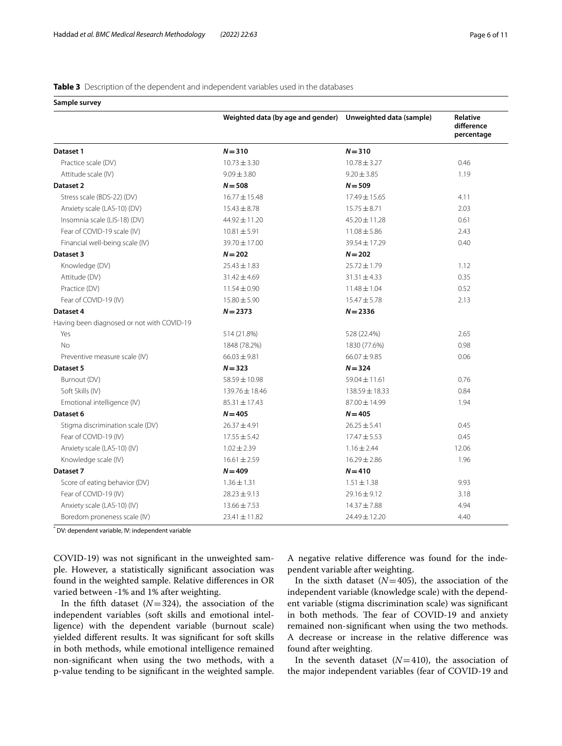#### **Table 3** Description of the dependent and independent variables used in the databases

**Sample survey**

|                                            | Weighted data (by age and gender) Unweighted data (sample) |                    | <b>Relative</b><br>difference<br>percentage |
|--------------------------------------------|------------------------------------------------------------|--------------------|---------------------------------------------|
| Dataset 1                                  | $N = 310$                                                  | $N = 310$          |                                             |
| Practice scale (DV)                        | $10.73 \pm 3.30$                                           | $10.78 \pm 3.27$   | 0.46                                        |
| Attitude scale (IV)                        | $9.09 \pm 3.80$                                            | $9.20 \pm 3.85$    | 1.19                                        |
| Dataset 2                                  | $N = 508$                                                  | $N = 509$          |                                             |
| Stress scale (BDS-22) (DV)                 | 16.77 ± 15.48                                              | 17.49 ± 15.65      | 4.11                                        |
| Anxiety scale (LAS-10) (DV)                | $15.43 \pm 8.78$                                           | $15.75 \pm 8.71$   | 2.03                                        |
| Insomnia scale (LIS-18) (DV)               | 44.92±11.20                                                | $45.20 \pm 11.28$  | 0.61                                        |
| Fear of COVID-19 scale (IV)                | $10.81 \pm 5.91$                                           | $11.08 \pm 5.86$   | 2.43                                        |
| Financial well-being scale (IV)            | 39.70 ± 17.00                                              | 39.54±17.29        | 0.40                                        |
| Dataset 3                                  | $N = 202$                                                  | $N = 202$          |                                             |
| Knowledge (DV)                             | $25.43 \pm 1.83$                                           | $25.72 \pm 1.79$   | 1.12                                        |
| Attitude (DV)                              | $31.42 \pm 4.69$                                           | $31.31 \pm 4.33$   | 0.35                                        |
| Practice (DV)                              | $11.54 \pm 0.90$                                           | $11.48 \pm 1.04$   | 0.52                                        |
| Fear of COVID-19 (IV)                      | $15.80 \pm 5.90$                                           | $15.47 \pm 5.78$   | 2.13                                        |
| Dataset 4                                  | $N = 2373$                                                 | $N = 2336$         |                                             |
| Having been diagnosed or not with COVID-19 |                                                            |                    |                                             |
| Yes                                        | 514 (21.8%)                                                | 528 (22.4%)        | 2.65                                        |
| No                                         | 1848 (78.2%)                                               | 1830 (77.6%)       | 0.98                                        |
| Preventive measure scale (IV)              | $66.03 \pm 9.81$                                           | $66.07 \pm 9.85$   | 0.06                                        |
| Dataset 5                                  | $N = 323$                                                  | $N = 324$          |                                             |
| Burnout (DV)                               | 58.59 ± 10.98                                              | $59.04 \pm 11.61$  | 0.76                                        |
| Soft Skills (IV)                           | 139.76 ± 18.46                                             | $138.59 \pm 18.33$ | 0.84                                        |
| Emotional intelligence (IV)                | $85.31 \pm 17.43$                                          | 87.00 ± 14.99      | 1.94                                        |
| Dataset 6                                  | $N = 405$                                                  | $N = 405$          |                                             |
| Stigma discrimination scale (DV)           | $26.37 \pm 4.91$                                           | $26.25 \pm 5.41$   | 0.45                                        |
| Fear of COVID-19 (IV)                      | $17.55 \pm 5.42$                                           | $17.47 \pm 5.53$   | 0.45                                        |
| Anxiety scale (LAS-10) (IV)                | $1.02 \pm 2.39$                                            | $1.16 \pm 2.44$    | 12.06                                       |
| Knowledge scale (IV)                       | $16.61 \pm 2.59$                                           | $16.29 \pm 2.86$   | 1.96                                        |
| Dataset 7                                  | $N = 409$                                                  | $N = 410$          |                                             |
| Score of eating behavior (DV)              | $1.36 \pm 1.31$                                            | $1.51 \pm 1.38$    | 9.93                                        |
| Fear of COVID-19 (IV)                      | $28.23 \pm 9.13$                                           | $29.16 \pm 9.12$   | 3.18                                        |
| Anxiety scale (LAS-10) (IV)                | $13.66 \pm 7.53$                                           | 14.37±7.88         | 4.94                                        |
| Boredom proneness scale (IV)               | $23.41 \pm 11.82$                                          | 24.49 ± 12.20      | 4.40                                        |

\* DV: dependent variable, IV: independent variable

COVID-19) was not signifcant in the unweighted sample. However, a statistically signifcant association was found in the weighted sample. Relative diferences in OR varied between -1% and 1% after weighting.

In the fifth dataset  $(N=324)$ , the association of the independent variables (soft skills and emotional intelligence) with the dependent variable (burnout scale) yielded diferent results. It was signifcant for soft skills in both methods, while emotional intelligence remained non-signifcant when using the two methods, with a p-value tending to be signifcant in the weighted sample.

A negative relative diference was found for the independent variable after weighting.

In the sixth dataset  $(N=405)$ , the association of the independent variable (knowledge scale) with the dependent variable (stigma discrimination scale) was signifcant in both methods. The fear of COVID-19 and anxiety remained non-signifcant when using the two methods. A decrease or increase in the relative diference was found after weighting.

In the seventh dataset  $(N=410)$ , the association of the major independent variables (fear of COVID-19 and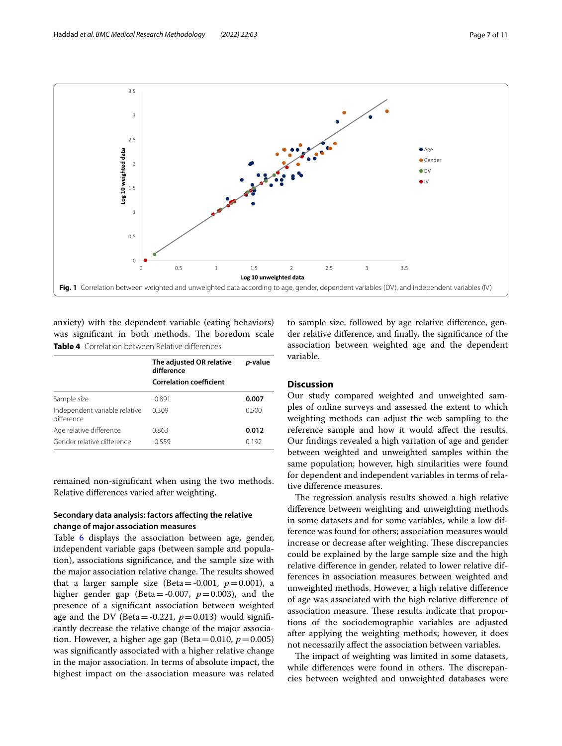

anxiety) with the dependent variable (eating behaviors) was significant in both methods. The boredom scale **Table 4** Correlation between Relative diferences

|                                             | The adjusted OR relative<br>difference | <i>p</i> -value |
|---------------------------------------------|----------------------------------------|-----------------|
|                                             | <b>Correlation coefficient</b>         |                 |
| Sample size                                 | $-0.891$                               | 0.007           |
| Independent variable relative<br>difference | 0.309                                  | 0.500           |
| Age relative difference                     | 0.863                                  | 0.012           |
| Gender relative difference                  | $-0.559$                               | 0.192           |
|                                             |                                        |                 |

remained non-signifcant when using the two methods. Relative diferences varied after weighting.

#### **Secondary data analysis: factors afecting the relative change of major association measures**

Table 6 displays the association between age, gender, independent variable gaps (between sample and population), associations signifcance, and the sample size with the major association relative change. The results showed that a larger sample size (Beta =  $-0.001$ ,  $p = 0.001$ ), a higher gender gap (Beta=-0.007,  $p=0.003$ ), and the presence of a signifcant association between weighted age and the DV (Beta = -0.221,  $p=0.013$ ) would significantly decrease the relative change of the major association. However, a higher age gap (Beta=0.010,  $p=0.005$ ) was signifcantly associated with a higher relative change in the major association. In terms of absolute impact, the highest impact on the association measure was related

to sample size, followed by age relative diference, gender relative diference, and fnally, the signifcance of the association between weighted age and the dependent variable.

#### **Discussion**

Our study compared weighted and unweighted samples of online surveys and assessed the extent to which weighting methods can adjust the web sampling to the reference sample and how it would afect the results. Our fndings revealed a high variation of age and gender between weighted and unweighted samples within the same population; however, high similarities were found for dependent and independent variables in terms of relative diference measures.

The regression analysis results showed a high relative diference between weighting and unweighting methods in some datasets and for some variables, while a low difference was found for others; association measures would increase or decrease after weighting. These discrepancies could be explained by the large sample size and the high relative diference in gender, related to lower relative differences in association measures between weighted and unweighted methods. However, a high relative diference of age was associated with the high relative diference of association measure. These results indicate that proportions of the sociodemographic variables are adjusted after applying the weighting methods; however, it does not necessarily afect the association between variables.

The impact of weighting was limited in some datasets, while differences were found in others. The discrepancies between weighted and unweighted databases were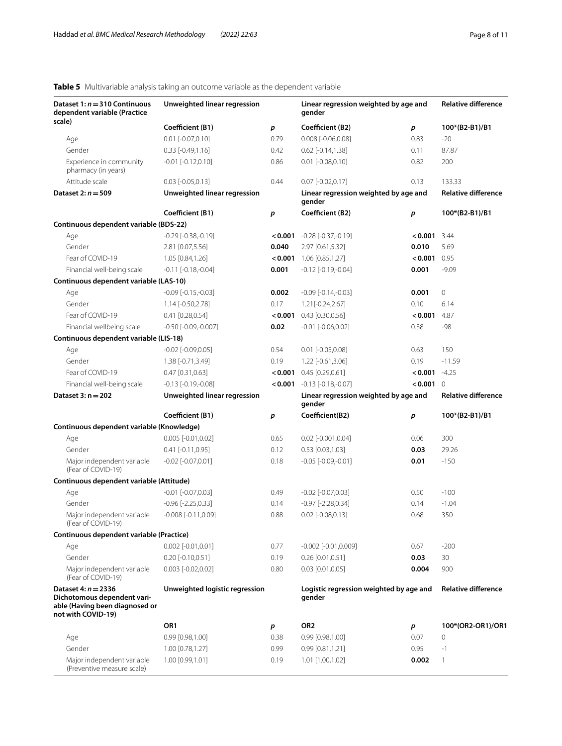## **Table 5** Multivariable analysis taking an outcome variable as the dependent variable

| Dataset $1: n = 310$ Continuous<br>dependent variable (Practice                                              | Unweighted linear regression   |         | Linear regression weighted by age and<br>gender   |                  | <b>Relative difference</b> |  |
|--------------------------------------------------------------------------------------------------------------|--------------------------------|---------|---------------------------------------------------|------------------|----------------------------|--|
| scale)                                                                                                       | Coefficient (B1)               | p       | Coefficient (B2)                                  | р                | 100*(B2-B1)/B1             |  |
| Age                                                                                                          | $0.01$ [-0.07,0.10]            | 0.79    | $0.008$ [-0.06,0.08]                              | 0.83             | $-20$                      |  |
| Gender                                                                                                       | $0.33$ [-0.49,1.16]            | 0.42    | $0.62$ [-0.14,1.38]                               | 0.11             | 87.87                      |  |
| Experience in community<br>pharmacy (in years)                                                               | $-0.01$ $[-0.12, 0.10]$        | 0.86    | $0.01$ [-0.08,0.10]                               | 0.82             | 200                        |  |
| Attitude scale                                                                                               | $0.03$ [-0.05,0.13]            | 0.44    | $0.07$ [-0.02,0.17]                               | 0.13             | 133.33                     |  |
| Dataset 2: $n = 509$                                                                                         | Unweighted linear regression   |         | Linear regression weighted by age and<br>gender   |                  | <b>Relative difference</b> |  |
|                                                                                                              | Coefficient (B1)               | p       | Coefficient (B2)                                  | $\boldsymbol{p}$ | 100*(B2-B1)/B1             |  |
| Continuous dependent variable (BDS-22)                                                                       |                                |         |                                                   |                  |                            |  |
| Age                                                                                                          | $-0.29$ $[-0.38,-0.19]$        | < 0.001 | $-0.28$ [ $-0.37, -0.19$ ]                        | 0.001            | 3.44                       |  |
| Gender                                                                                                       | 2.81 [0.07,5.56]               | 0.040   | 2.97 [0.61,5.32]                                  | 0.010            | 5.69                       |  |
| Fear of COVID-19                                                                                             | 1.05 [0.84,1.26]               | 0.001   | 1.06 [0.85,1.27]                                  | $< 0.001$ 0.95   |                            |  |
| Financial well-being scale                                                                                   | $-0.11$ $[-0.18,-0.04]$        | 0.001   | $-0.12$ [ $-0.19$ , $-0.04$ ]                     | 0.001            | $-9.09$                    |  |
| Continuous dependent variable (LAS-10)                                                                       |                                |         |                                                   |                  |                            |  |
| Age                                                                                                          | $-0.09$ $[-0.15,-0.03]$        | 0.002   | $-0.09$ $[-0.14,-0.03]$                           | 0.001            | 0                          |  |
| Gender                                                                                                       | 1.14 [-0.50,2.78]              | 0.17    | 1.21[-0.24,2.67]                                  | 0.10             | 6.14                       |  |
| Fear of COVID-19                                                                                             | $0.41$ [0.28,0.54]             | 0.001   | 0.43 [0.30,0.56]                                  | 0.001            | 4.87                       |  |
| Financial wellbeing scale                                                                                    | $-0.50$ $[-0.09,-0.007]$       | 0.02    | $-0.01$ $[-0.06, 0.02]$                           | 0.38             | -98                        |  |
| Continuous dependent variable (LIS-18)                                                                       |                                |         |                                                   |                  |                            |  |
| Age                                                                                                          | $-0.02$ [ $-0.09, 0.05$ ]      | 0.54    | $0.01$ [-0.05,0.08]                               | 0.63             | 150                        |  |
| Gender                                                                                                       | 1.38 [-0.71,3.49]              | 0.19    | 1.22 [-0.61,3.06]                                 | 0.19             | $-11.59$                   |  |
| Fear of COVID-19                                                                                             | $0.47$ [0.31,0.63]             | 0.001   | $0.45$ [0.29,0.61]                                | < 0.001          | $-4.25$                    |  |
| Financial well-being scale                                                                                   | $-0.13$ $[-0.19,-0.08]$        |         | $< 0.001$ $-0.13$ $[-0.18,-0.07]$                 | < 0.001          | $\Omega$                   |  |
| Dataset $3: n = 202$                                                                                         | Unweighted linear regression   |         | Linear regression weighted by age and<br>gender   |                  | <b>Relative difference</b> |  |
|                                                                                                              | Coefficient (B1)               | p       | Coefficient(B2)                                   | p                | 100*(B2-B1)/B1             |  |
| Continuous dependent variable (Knowledge)                                                                    |                                |         |                                                   |                  |                            |  |
| Age                                                                                                          | $0.005$ [-0.01,0.02]           | 0.65    | 0.02 [-0.001,0.04]                                | 0.06             | 300                        |  |
| Gender                                                                                                       | $0.41$ [-0.11,0.95]            | 0.12    | $0.53$ [0.03,1.03]                                | 0.03             | 29.26                      |  |
| Major independent variable<br>(Fear of COVID-19)                                                             | $-0.02$ $[-0.07, 0.01]$        | 0.18    | $-0.05$ $[-0.09,-0.01]$                           | 0.01             | $-150$                     |  |
| Continuous dependent variable (Attitude)                                                                     |                                |         |                                                   |                  |                            |  |
| Age                                                                                                          | $-0.01$ [ $-0.07, 0.03$ ]      | 0.49    | $-0.02$ $[-0.07, 0.03]$                           | 0.50             | $-100$                     |  |
| Gender                                                                                                       | $-0.96$ $[-2.25, 0.33]$        | 0.14    | $-0.97$ $[-2.28, 0.34]$                           | 0.14             | $-1.04$                    |  |
| Major independent variable<br>(Fear of COVID-19)                                                             | $-0.008$ $[-0.11, 0.09]$       | 0.88    | $0.02$ [-0.08,0.13]                               | 0.68             | 350                        |  |
| Continuous dependent variable (Practice)                                                                     |                                |         |                                                   |                  |                            |  |
| Age                                                                                                          | $0.002$ [-0.01,0.01]           | 0.77    | $-0.002$ $[-0.01, 0.009]$                         | 0.67             | $-200$                     |  |
| Gender                                                                                                       | $0.20$ [-0.10,0.51]            | 0.19    | $0.26$ [0.01,0.51]                                | 0.03             | 30                         |  |
| Major independent variable<br>(Fear of COVID-19)                                                             | $0.003$ [-0.02,0.02]           | 0.80    | $0.03$ [0.01,0.05]                                | 0.004            | 900                        |  |
| Dataset 4: $n = 2336$<br>Dichotomous dependent vari-<br>able (Having been diagnosed or<br>not with COVID-19) | Unweighted logistic regression |         | Logistic regression weighted by age and<br>gender |                  | <b>Relative difference</b> |  |
|                                                                                                              | OR1                            | p       | OR <sub>2</sub>                                   | p                | 100*(OR2-OR1)/OR1          |  |
| Age                                                                                                          | $0.99$ $[0.98, 1.00]$          | 0.38    | 0.99 [0.98,1.00]                                  | 0.07             | 0                          |  |
| Gender                                                                                                       | 1.00 [0.78,1.27]               | 0.99    | $0.99$ $[0.81, 1.21]$                             | 0.95             | $-1$                       |  |
| Major independent variable<br>(Preventive measure scale)                                                     | 1.00 [0.99,1.01]               | 0.19    | 1.01 [1.00,1.02]                                  | 0.002            | 1                          |  |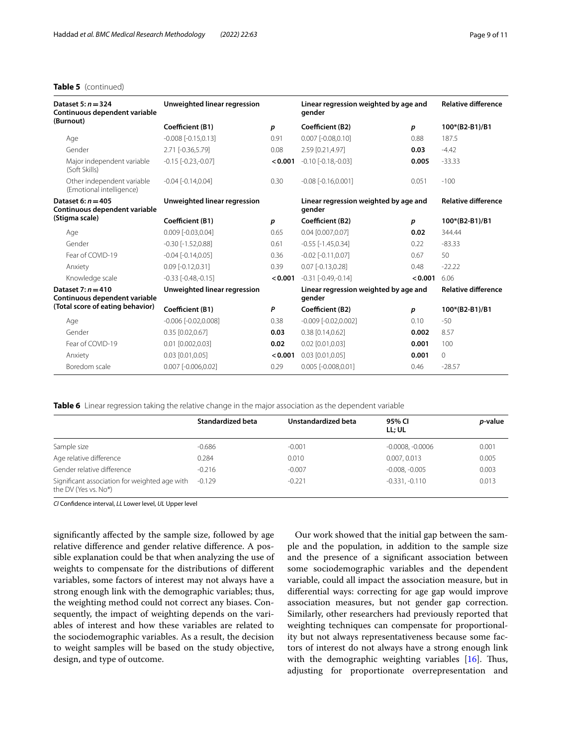#### **Table 5** (continued)

| Dataset 5: $n = 324$<br>Continuous dependent variable  | Unweighted linear regression |                  | Linear regression weighted by age and<br>gender |         | <b>Relative difference</b> |  |
|--------------------------------------------------------|------------------------------|------------------|-------------------------------------------------|---------|----------------------------|--|
| (Burnout)                                              | Coefficient (B1)             | $\boldsymbol{p}$ | Coefficient (B2)                                | р       | 100*(B2-B1)/B1             |  |
| Age                                                    | $-0.008$ $[-0.15, 0.13]$     | 0.91             | $0.007$ $[-0.08, 0.10]$                         | 0.88    | 187.5                      |  |
| Gender                                                 | 2.71 [-0.36,5.79]            | 0.08             | 2.59 [0.21,4.97]                                | 0.03    | $-4.42$                    |  |
| Major independent variable<br>(Soft Skills)            | $-0.15$ $[-0.23,-0.07]$      | < 0.001          | $-0.10$ $[-0.18,-0.03]$                         | 0.005   | $-33.33$                   |  |
| Other independent variable<br>(Emotional intelligence) | $-0.04$ $[-0.14, 0.04]$      | 0.30             | $-0.08$ $[-0.16, 0.001]$                        | 0.051   | $-100$                     |  |
| Dataset 6: $n = 405$<br>Continuous dependent variable  | Unweighted linear regression |                  | Linear regression weighted by age and<br>gender |         | <b>Relative difference</b> |  |
| (Stigma scale)                                         | Coefficient (B1)             | $\boldsymbol{p}$ | Coefficient (B2)                                | p       | 100*(B2-B1)/B1             |  |
| Age                                                    | 0.009 [-0.03,0.04]           | 0.65             | 0.04 [0.007,0.07]                               | 0.02    | 344.44                     |  |
| Gender                                                 | $-0.30$ $[-1.52, 0.88]$      | 0.61             | $-0.55$ [ $-1.45, 0.34$ ]                       | 0.22    | $-83.33$                   |  |
| Fear of COVID-19                                       | $-0.04$ $[-0.14, 0.05]$      | 0.36             | $-0.02$ $[-0.11, 0.07]$                         | 0.67    | 50                         |  |
| Anxiety                                                | $0.09$ [-0.12,0.31]          | 0.39             | $0.07$ [-0.13,0.28]                             | 0.48    | $-22.22$                   |  |
| Knowledge scale                                        | $-0.33$ $[-0.48,-0.15]$      | < 0.001          | $-0.31$ $[-0.49,-0.14]$                         | < 0.001 | 6.06                       |  |
| Dataset 7: $n = 410$<br>Continuous dependent variable  | Unweighted linear regression |                  | Linear regression weighted by age and<br>gender |         | <b>Relative difference</b> |  |
| (Total score of eating behavior)                       | Coefficient (B1)             | P                | Coefficient (B2)                                | р       | 100*(B2-B1)/B1             |  |
| Age                                                    | $-0.006$ $[-0.02, 0.008]$    | 0.38             | $-0.009$ $[-0.02, 0.002]$                       | 0.10    | $-50$                      |  |
| Gender                                                 | 0.35 [0.02,0.67]             | 0.03             | $0.38$ $[0.14, 0.62]$                           | 0.002   | 8.57                       |  |
| Fear of COVID-19                                       | $0.01$ $[0.002, 0.03]$       | 0.02             | $0.02$ [0.01,0.03]                              | 0.001   | 100                        |  |
| Anxiety                                                | 0.03 [0.01,0.05]             | < 0.001          | $0.03$ $[0.01, 0.05]$                           | 0.001   | $\Omega$                   |  |
| Boredom scale                                          | $0.007$ [-0.006,0.02]        | 0.29             | 0.005 [-0.008,0.01]                             | 0.46    | $-28.57$                   |  |

**Table 6** Linear regression taking the relative change in the major association as the dependent variable

|                                                                       | Standardized beta | Unstandardized beta | 95% CI<br>LL: UL   | <i>p</i> -value |
|-----------------------------------------------------------------------|-------------------|---------------------|--------------------|-----------------|
| Sample size                                                           | $-0.686$          | $-0.001$            | $-0.0008, -0.0006$ | 0.001           |
| Age relative difference                                               | 0.284             | 0.010               | 0.007, 0.013       | 0.005           |
| Gender relative difference                                            | $-0.216$          | $-0.007$            | $-0.008, -0.005$   | 0.003           |
| Significant association for weighted age with<br>the DV (Yes vs. No*) | $-0.129$          | $-0.221$            | $-0.331, -0.110$   | 0.013           |

*CI* Confdence interval, *LL* Lower level, *UL* Upper level

signifcantly afected by the sample size, followed by age relative diference and gender relative diference. A possible explanation could be that when analyzing the use of weights to compensate for the distributions of diferent variables, some factors of interest may not always have a strong enough link with the demographic variables; thus, the weighting method could not correct any biases. Consequently, the impact of weighting depends on the variables of interest and how these variables are related to the sociodemographic variables. As a result, the decision to weight samples will be based on the study objective, design, and type of outcome.

Our work showed that the initial gap between the sample and the population, in addition to the sample size and the presence of a signifcant association between some sociodemographic variables and the dependent variable, could all impact the association measure, but in diferential ways: correcting for age gap would improve association measures, but not gender gap correction. Similarly, other researchers had previously reported that weighting techniques can compensate for proportionality but not always representativeness because some factors of interest do not always have a strong enough link with the demographic weighting variables  $[16]$ . Thus, adjusting for proportionate overrepresentation and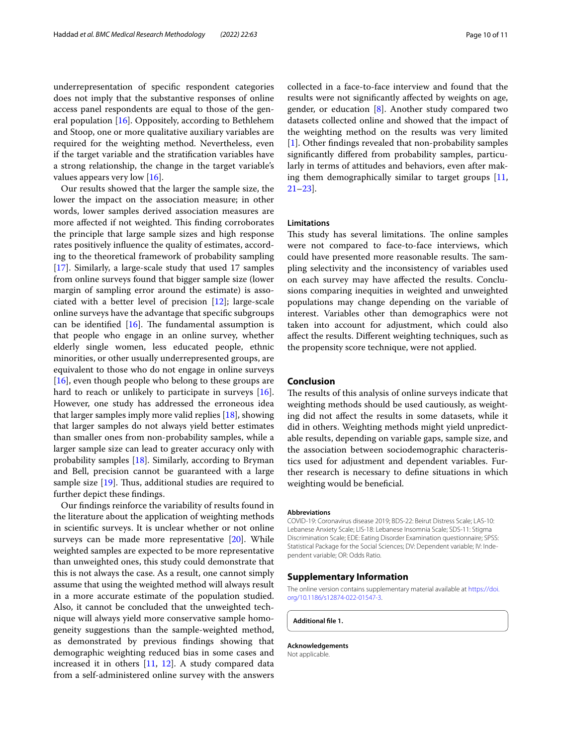underrepresentation of specifc respondent categories does not imply that the substantive responses of online access panel respondents are equal to those of the general population [16]. Oppositely, according to Bethlehem and Stoop, one or more qualitative auxiliary variables are required for the weighting method. Nevertheless, even if the target variable and the stratifcation variables have a strong relationship, the change in the target variable's values appears very low [16].

Our results showed that the larger the sample size, the lower the impact on the association measure; in other words, lower samples derived association measures are more affected if not weighted. This finding corroborates the principle that large sample sizes and high response rates positively infuence the quality of estimates, according to the theoretical framework of probability sampling [17]. Similarly, a large-scale study that used 17 samples from online surveys found that bigger sample size (lower margin of sampling error around the estimate) is associated with a better level of precision [12]; large-scale online surveys have the advantage that specifc subgroups can be identified  $[16]$ . The fundamental assumption is that people who engage in an online survey, whether elderly single women, less educated people, ethnic minorities, or other usually underrepresented groups, are equivalent to those who do not engage in online surveys [16], even though people who belong to these groups are hard to reach or unlikely to participate in surveys [16]. However, one study has addressed the erroneous idea that larger samples imply more valid replies [18], showing that larger samples do not always yield better estimates than smaller ones from non-probability samples, while a larger sample size can lead to greater accuracy only with probability samples [18]. Similarly, according to Bryman and Bell, precision cannot be guaranteed with a large sample size  $[19]$ . Thus, additional studies are required to further depict these fndings.

Our fndings reinforce the variability of results found in the literature about the application of weighting methods in scientifc surveys. It is unclear whether or not online surveys can be made more representative [20]. While weighted samples are expected to be more representative than unweighted ones, this study could demonstrate that this is not always the case. As a result, one cannot simply assume that using the weighted method will always result in a more accurate estimate of the population studied. Also, it cannot be concluded that the unweighted technique will always yield more conservative sample homogeneity suggestions than the sample-weighted method, as demonstrated by previous fndings showing that demographic weighting reduced bias in some cases and increased it in others [11, 12]. A study compared data from a self-administered online survey with the answers collected in a face-to-face interview and found that the results were not signifcantly afected by weights on age, gender, or education [8]. Another study compared two datasets collected online and showed that the impact of the weighting method on the results was very limited [1]. Other findings revealed that non-probability samples signifcantly difered from probability samples, particularly in terms of attitudes and behaviors, even after making them demographically similar to target groups [11, 21–23].

#### **Limitations**

This study has several limitations. The online samples were not compared to face-to-face interviews, which could have presented more reasonable results. The sampling selectivity and the inconsistency of variables used on each survey may have afected the results. Conclusions comparing inequities in weighted and unweighted populations may change depending on the variable of interest. Variables other than demographics were not taken into account for adjustment, which could also afect the results. Diferent weighting techniques, such as the propensity score technique, were not applied.

#### **Conclusion**

The results of this analysis of online surveys indicate that weighting methods should be used cautiously, as weighting did not afect the results in some datasets, while it did in others. Weighting methods might yield unpredictable results, depending on variable gaps, sample size, and the association between sociodemographic characteristics used for adjustment and dependent variables. Further research is necessary to defne situations in which weighting would be benefcial.

#### **Abbreviations**

COVID-19: Coronavirus disease 2019; BDS-22: Beirut Distress Scale; LAS-10: Lebanese Anxiety Scale; LIS-18: Lebanese Insomnia Scale; SDS-11: Stigma Discrimination Scale; EDE: Eating Disorder Examination questionnaire; SPSS: Statistical Package for the Social Sciences; DV: Dependent variable; IV: Independent variable; OR: Odds Ratio.

#### **Supplementary Information**

The online version contains supplementary material available at [https://doi.](https://doi.org/10.1186/s12874-022-01547-3) [org/10.1186/s12874-022-01547-3](https://doi.org/10.1186/s12874-022-01547-3).

**Additional fle 1.**

**Acknowledgements** Not applicable.